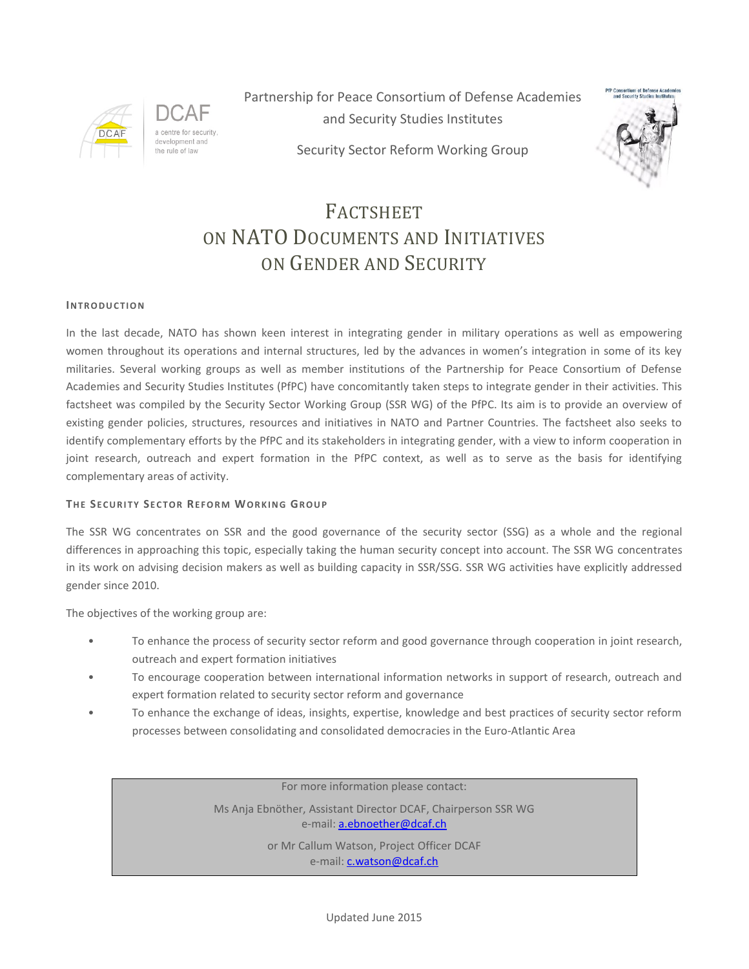

a centre for security development and the rule of law

Partnership for Peace Consortium of Defense Academies and Security Studies Institutes



Security Sector Reform Working Group

### FACTSHEET ON NATO DOCUMENTS AND INITIATIVES ON GENDER AND SECURITY

#### **IN T R O D U C T I O N**

In the last decade, NATO has shown keen interest in integrating gender in military operations as well as empowering women throughout its operations and internal structures, led by the advances in women's integration in some of its key militaries. Several working groups as well as member institutions of the Partnership for Peace Consortium of Defense Academies and Security Studies Institutes (PfPC) have concomitantly taken steps to integrate gender in their activities. This factsheet was compiled by the Security Sector Working Group (SSR WG) of the PfPC. Its aim is to provide an overview of existing gender policies, structures, resources and initiatives in NATO and Partner Countries. The factsheet also seeks to identify complementary efforts by the PfPC and its stakeholders in integrating gender, with a view to inform cooperation in joint research, outreach and expert formation in the PfPC context, as well as to serve as the basis for identifying complementary areas of activity.

#### **THE SECURITY SECTOR REFORM WORKING GROUP**

The SSR WG concentrates on SSR and the good governance of the security sector (SSG) as a whole and the regional differences in approaching this topic, especially taking the human security concept into account. The SSR WG concentrates in its work on advising decision makers as well as building capacity in SSR/SSG. SSR WG activities have explicitly addressed gender since 2010.

The objectives of the working group are:

- To enhance the process of security sector reform and good governance through cooperation in joint research, outreach and expert formation initiatives
- To encourage cooperation between international information networks in support of research, outreach and expert formation related to security sector reform and governance
- To enhance the exchange of ideas, insights, expertise, knowledge and best practices of security sector reform processes between consolidating and consolidated democracies in the Euro-Atlantic Area

For more information please contact:

Ms Anja Ebnöther, Assistant Director DCAF, Chairperson SSR WG e-mail: [a.ebnoether@dcaf.ch](mailto:a.ebnoether@dcaf.ch)

> or Mr Callum Watson, Project Officer DCAF e-mail: **c.watson@dcaf.ch**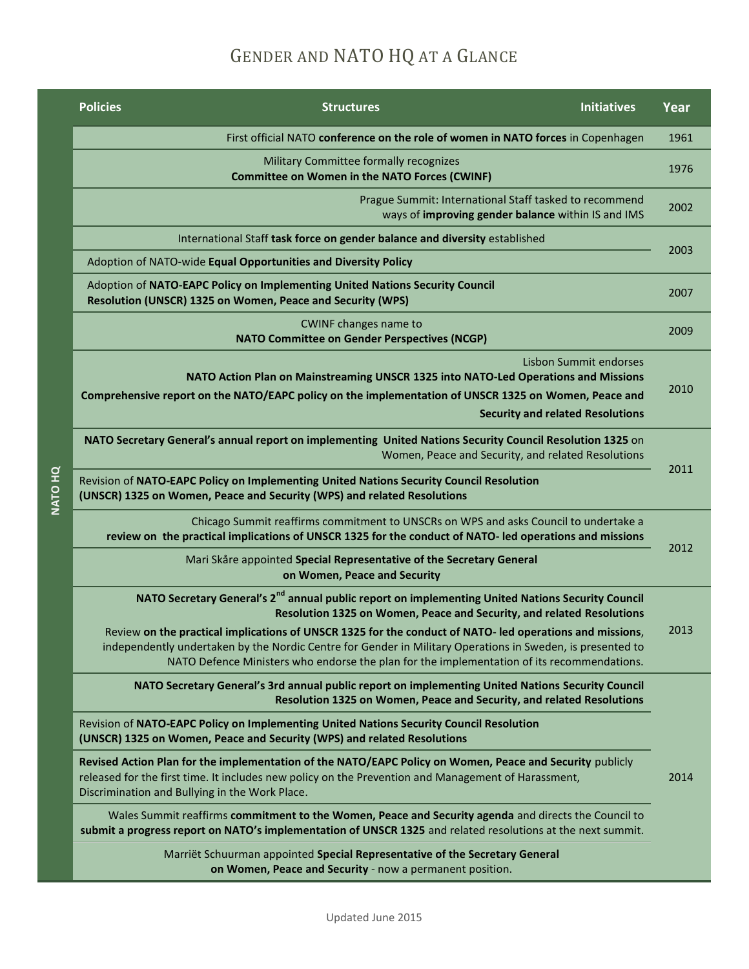# GENDER AND NATO HQ AT A GLANCE

| <b>Policies</b>                                                                                                                                                                                                                                                   | <b>Structures</b>                                                                                                                                                                                                                                                                                                    | <b>Initiatives</b>     | Year |  |
|-------------------------------------------------------------------------------------------------------------------------------------------------------------------------------------------------------------------------------------------------------------------|----------------------------------------------------------------------------------------------------------------------------------------------------------------------------------------------------------------------------------------------------------------------------------------------------------------------|------------------------|------|--|
|                                                                                                                                                                                                                                                                   | First official NATO conference on the role of women in NATO forces in Copenhagen                                                                                                                                                                                                                                     |                        | 1961 |  |
|                                                                                                                                                                                                                                                                   | Military Committee formally recognizes<br><b>Committee on Women in the NATO Forces (CWINF)</b>                                                                                                                                                                                                                       |                        | 1976 |  |
| Prague Summit: International Staff tasked to recommend<br>ways of improving gender balance within IS and IMS                                                                                                                                                      |                                                                                                                                                                                                                                                                                                                      | 2002                   |      |  |
|                                                                                                                                                                                                                                                                   | International Staff task force on gender balance and diversity established                                                                                                                                                                                                                                           |                        | 2003 |  |
| Adoption of NATO-wide Equal Opportunities and Diversity Policy                                                                                                                                                                                                    |                                                                                                                                                                                                                                                                                                                      |                        |      |  |
| Adoption of NATO-EAPC Policy on Implementing United Nations Security Council<br>Resolution (UNSCR) 1325 on Women, Peace and Security (WPS)                                                                                                                        |                                                                                                                                                                                                                                                                                                                      | 2007                   |      |  |
|                                                                                                                                                                                                                                                                   | <b>CWINF changes name to</b><br><b>NATO Committee on Gender Perspectives (NCGP)</b>                                                                                                                                                                                                                                  |                        | 2009 |  |
|                                                                                                                                                                                                                                                                   | NATO Action Plan on Mainstreaming UNSCR 1325 into NATO-Led Operations and Missions                                                                                                                                                                                                                                   | Lisbon Summit endorses |      |  |
|                                                                                                                                                                                                                                                                   | Comprehensive report on the NATO/EAPC policy on the implementation of UNSCR 1325 on Women, Peace and                                                                                                                                                                                                                 |                        | 2010 |  |
|                                                                                                                                                                                                                                                                   | <b>Security and related Resolutions</b>                                                                                                                                                                                                                                                                              |                        |      |  |
| NATO Secretary General's annual report on implementing United Nations Security Council Resolution 1325 on                                                                                                                                                         | Women, Peace and Security, and related Resolutions                                                                                                                                                                                                                                                                   |                        | 2011 |  |
| Revision of NATO-EAPC Policy on Implementing United Nations Security Council Resolution<br>(UNSCR) 1325 on Women, Peace and Security (WPS) and related Resolutions                                                                                                |                                                                                                                                                                                                                                                                                                                      |                        |      |  |
|                                                                                                                                                                                                                                                                   | Chicago Summit reaffirms commitment to UNSCRs on WPS and asks Council to undertake a<br>review on the practical implications of UNSCR 1325 for the conduct of NATO- led operations and missions                                                                                                                      |                        |      |  |
|                                                                                                                                                                                                                                                                   | Mari Skåre appointed Special Representative of the Secretary General<br>on Women, Peace and Security                                                                                                                                                                                                                 |                        | 2012 |  |
|                                                                                                                                                                                                                                                                   | NATO Secretary General's 2 <sup>nd</sup> annual public report on implementing United Nations Security Council<br>Resolution 1325 on Women, Peace and Security, and related Resolutions                                                                                                                               |                        | 2013 |  |
|                                                                                                                                                                                                                                                                   | Review on the practical implications of UNSCR 1325 for the conduct of NATO- led operations and missions,<br>independently undertaken by the Nordic Centre for Gender in Military Operations in Sweden, is presented to<br>NATO Defence Ministers who endorse the plan for the implementation of its recommendations. |                        |      |  |
|                                                                                                                                                                                                                                                                   | NATO Secretary General's 3rd annual public report on implementing United Nations Security Council<br>Resolution 1325 on Women, Peace and Security, and related Resolutions                                                                                                                                           |                        |      |  |
| Revision of NATO-EAPC Policy on Implementing United Nations Security Council Resolution<br>(UNSCR) 1325 on Women, Peace and Security (WPS) and related Resolutions                                                                                                |                                                                                                                                                                                                                                                                                                                      |                        |      |  |
| Revised Action Plan for the implementation of the NATO/EAPC Policy on Women, Peace and Security publicly<br>released for the first time. It includes new policy on the Prevention and Management of Harassment,<br>Discrimination and Bullying in the Work Place. |                                                                                                                                                                                                                                                                                                                      |                        | 2014 |  |
| submit a progress report on NATO's implementation of UNSCR 1325 and related resolutions at the next summit.                                                                                                                                                       | Wales Summit reaffirms commitment to the Women, Peace and Security agenda and directs the Council to                                                                                                                                                                                                                 |                        |      |  |
|                                                                                                                                                                                                                                                                   | Marriët Schuurman appointed Special Representative of the Secretary General<br>on Women, Peace and Security - now a permanent position.                                                                                                                                                                              |                        |      |  |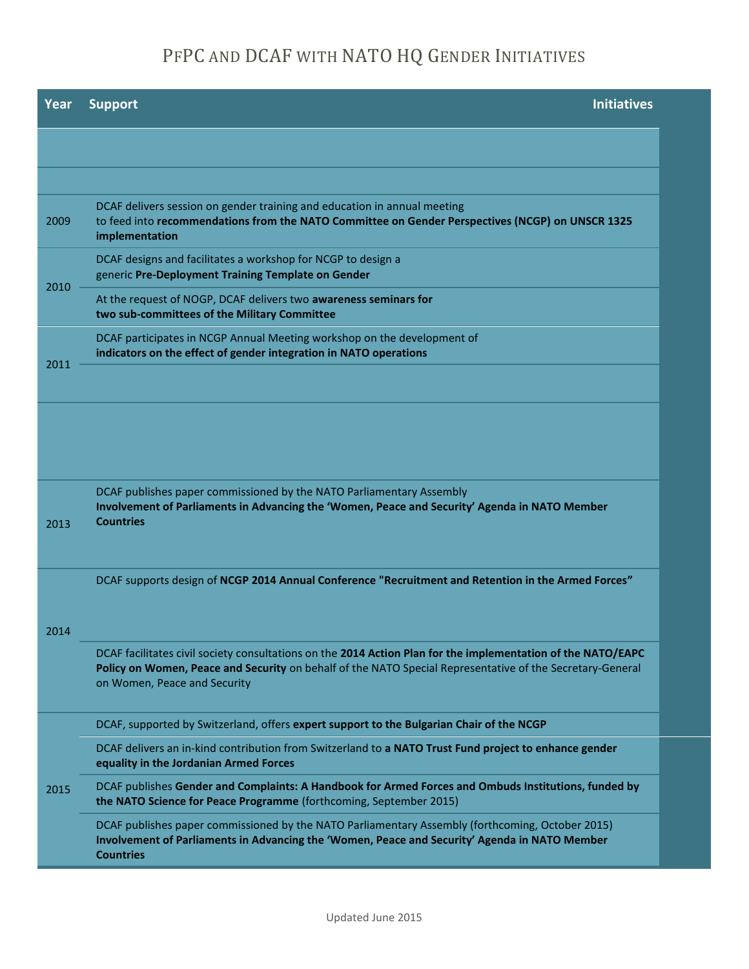## PFPC AND DCAF WITH NATO HQ GENDER INITIATIVES

| Year | <b>Initiatives</b><br><b>Support</b>                                                                                                                                                                                                                      |
|------|-----------------------------------------------------------------------------------------------------------------------------------------------------------------------------------------------------------------------------------------------------------|
|      |                                                                                                                                                                                                                                                           |
|      |                                                                                                                                                                                                                                                           |
| 2009 | DCAF delivers session on gender training and education in annual meeting<br>to feed into recommendations from the NATO Committee on Gender Perspectives (NCGP) on UNSCR 1325<br>implementation                                                            |
| 2010 | DCAF designs and facilitates a workshop for NCGP to design a<br>generic Pre-Deployment Training Template on Gender                                                                                                                                        |
|      | At the request of NOGP, DCAF delivers two awareness seminars for<br>two sub-committees of the Military Committee                                                                                                                                          |
|      | DCAF participates in NCGP Annual Meeting workshop on the development of<br>indicators on the effect of gender integration in NATO operations                                                                                                              |
| 2011 |                                                                                                                                                                                                                                                           |
|      |                                                                                                                                                                                                                                                           |
|      |                                                                                                                                                                                                                                                           |
| 2013 | DCAF publishes paper commissioned by the NATO Parliamentary Assembly<br>Involvement of Parliaments in Advancing the 'Women, Peace and Security' Agenda in NATO Member<br><b>Countries</b>                                                                 |
|      | DCAF supports design of NCGP 2014 Annual Conference "Recruitment and Retention in the Armed Forces"                                                                                                                                                       |
| 2014 |                                                                                                                                                                                                                                                           |
|      | DCAF facilitates civil society consultations on the 2014 Action Plan for the implementation of the NATO/EAPC<br>Policy on Women, Peace and Security on behalf of the NATO Special Representative of the Secretary-General<br>on Women, Peace and Security |
|      | DCAF, supported by Switzerland, offers expert support to the Bulgarian Chair of the NCGP                                                                                                                                                                  |
|      | DCAF delivers an in-kind contribution from Switzerland to a NATO Trust Fund project to enhance gender<br>equality in the Jordanian Armed Forces                                                                                                           |
| 2015 | DCAF publishes Gender and Complaints: A Handbook for Armed Forces and Ombuds Institutions, funded by<br>the NATO Science for Peace Programme (forthcoming, September 2015)                                                                                |
|      | DCAF publishes paper commissioned by the NATO Parliamentary Assembly (forthcoming, October 2015)<br>Involvement of Parliaments in Advancing the 'Women, Peace and Security' Agenda in NATO Member<br><b>Countries</b>                                     |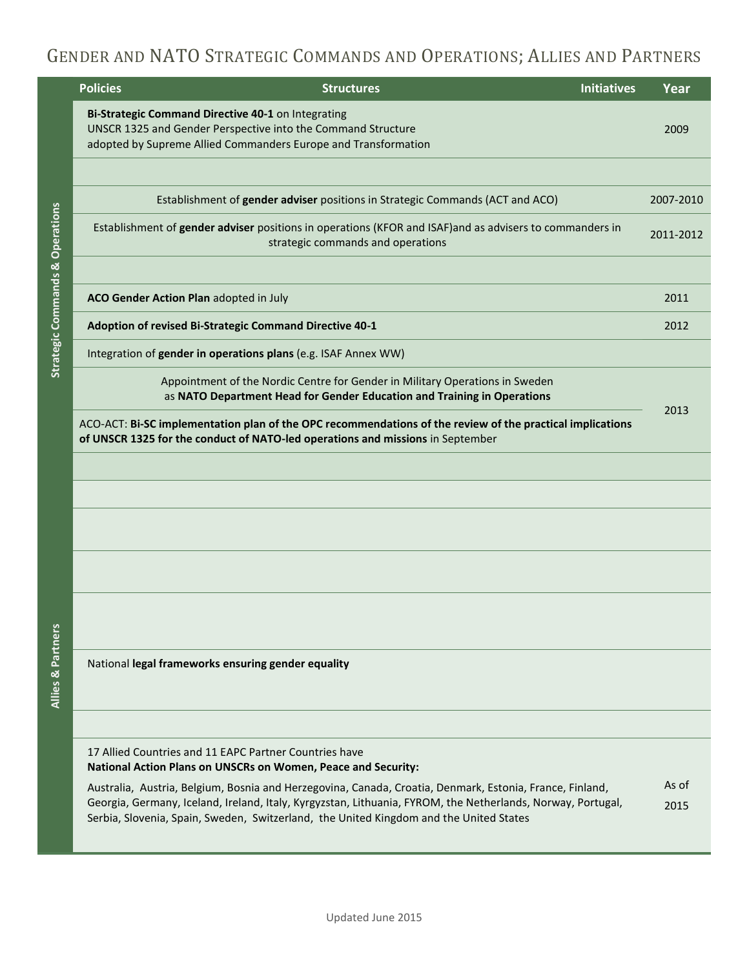### GENDER AND NATO STRATEGIC COMMANDS AND OPERATIONS; ALLIES AND PARTNERS

|                                            | <b>Policies</b><br><b>Structures</b>                                                                                                                                                                                                                                                                              | <b>Initiatives</b> | Year          |
|--------------------------------------------|-------------------------------------------------------------------------------------------------------------------------------------------------------------------------------------------------------------------------------------------------------------------------------------------------------------------|--------------------|---------------|
|                                            | Bi-Strategic Command Directive 40-1 on Integrating<br>UNSCR 1325 and Gender Perspective into the Command Structure<br>adopted by Supreme Allied Commanders Europe and Transformation                                                                                                                              |                    | 2009          |
|                                            |                                                                                                                                                                                                                                                                                                                   |                    |               |
|                                            | Establishment of gender adviser positions in Strategic Commands (ACT and ACO)                                                                                                                                                                                                                                     |                    | 2007-2010     |
| <b>Strategic Commands &amp; Operations</b> | Establishment of gender adviser positions in operations (KFOR and ISAF) and as advisers to commanders in<br>strategic commands and operations                                                                                                                                                                     |                    | 2011-2012     |
|                                            |                                                                                                                                                                                                                                                                                                                   |                    |               |
|                                            | ACO Gender Action Plan adopted in July                                                                                                                                                                                                                                                                            |                    | 2011          |
|                                            | Adoption of revised Bi-Strategic Command Directive 40-1                                                                                                                                                                                                                                                           |                    | 2012          |
|                                            | Integration of gender in operations plans (e.g. ISAF Annex WW)                                                                                                                                                                                                                                                    |                    |               |
|                                            | Appointment of the Nordic Centre for Gender in Military Operations in Sweden<br>as NATO Department Head for Gender Education and Training in Operations                                                                                                                                                           |                    |               |
|                                            | ACO-ACT: Bi-SC implementation plan of the OPC recommendations of the review of the practical implications<br>of UNSCR 1325 for the conduct of NATO-led operations and missions in September                                                                                                                       |                    | 2013          |
|                                            |                                                                                                                                                                                                                                                                                                                   |                    |               |
|                                            |                                                                                                                                                                                                                                                                                                                   |                    |               |
|                                            |                                                                                                                                                                                                                                                                                                                   |                    |               |
|                                            |                                                                                                                                                                                                                                                                                                                   |                    |               |
|                                            |                                                                                                                                                                                                                                                                                                                   |                    |               |
| Allies & Partners                          | National legal frameworks ensuring gender equality                                                                                                                                                                                                                                                                |                    |               |
|                                            |                                                                                                                                                                                                                                                                                                                   |                    |               |
|                                            | 17 Allied Countries and 11 EAPC Partner Countries have<br>National Action Plans on UNSCRs on Women, Peace and Security:                                                                                                                                                                                           |                    |               |
|                                            | Australia, Austria, Belgium, Bosnia and Herzegovina, Canada, Croatia, Denmark, Estonia, France, Finland,<br>Georgia, Germany, Iceland, Ireland, Italy, Kyrgyzstan, Lithuania, FYROM, the Netherlands, Norway, Portugal,<br>Serbia, Slovenia, Spain, Sweden, Switzerland, the United Kingdom and the United States |                    | As of<br>2015 |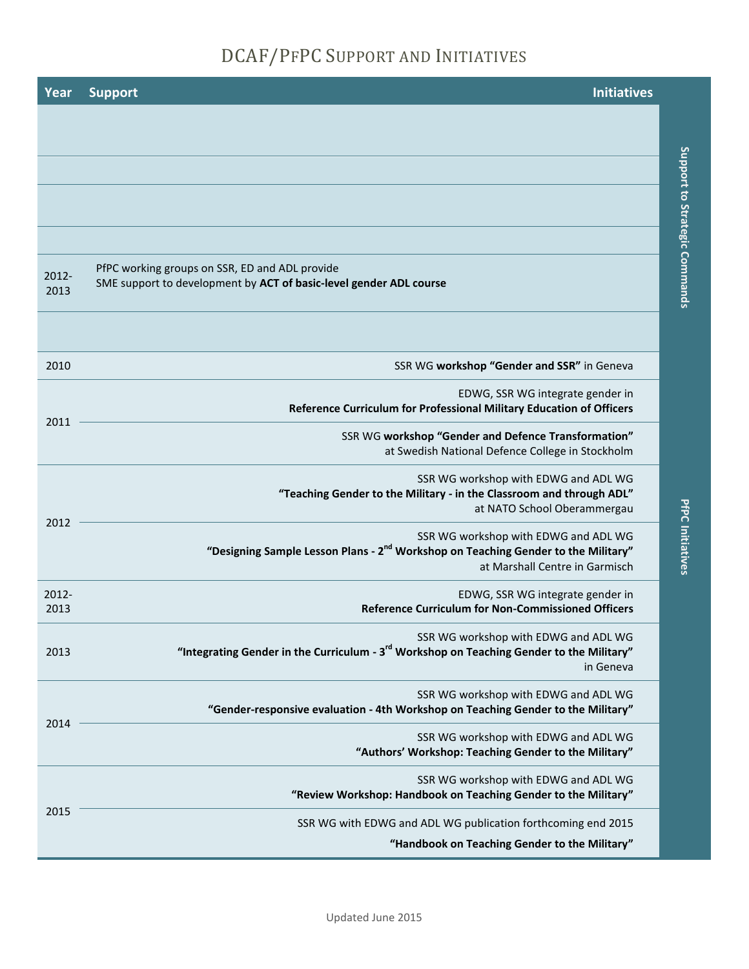## DCAF/PFPC SUPPORT AND INITIATIVES

**Support to Strategic Commands**

Support to Strategic Commands

**PfPC Initiatives**

**PfPC Initiatives** 

| Year          | <b>Initiatives</b><br><b>Support</b>                                                                                                                                    |
|---------------|-------------------------------------------------------------------------------------------------------------------------------------------------------------------------|
|               |                                                                                                                                                                         |
|               |                                                                                                                                                                         |
|               |                                                                                                                                                                         |
|               |                                                                                                                                                                         |
|               |                                                                                                                                                                         |
| 2012-<br>2013 | PfPC working groups on SSR, ED and ADL provide<br>SME support to development by ACT of basic-level gender ADL course                                                    |
|               |                                                                                                                                                                         |
| 2010          | SSR WG workshop "Gender and SSR" in Geneva                                                                                                                              |
|               | EDWG, SSR WG integrate gender in<br>Reference Curriculum for Professional Military Education of Officers                                                                |
| 2011          | SSR WG workshop "Gender and Defence Transformation"<br>at Swedish National Defence College in Stockholm                                                                 |
|               | SSR WG workshop with EDWG and ADL WG<br>"Teaching Gender to the Military - in the Classroom and through ADL"<br>at NATO School Oberammergau                             |
| 2012          | SSR WG workshop with EDWG and ADL WG<br>"Designing Sample Lesson Plans - 2 <sup>nd</sup> Workshop on Teaching Gender to the Military"<br>at Marshall Centre in Garmisch |
| 2012-<br>2013 | EDWG, SSR WG integrate gender in<br><b>Reference Curriculum for Non-Commissioned Officers</b>                                                                           |
| 2013          | SSR WG workshop with EDWG and ADL WG<br>"Integrating Gender in the Curriculum - 3 <sup>rd</sup> Workshop on Teaching Gender to the Military"<br>in Geneva               |
|               | SSR WG workshop with EDWG and ADL WG<br>"Gender-responsive evaluation - 4th Workshop on Teaching Gender to the Military"                                                |
| 2014          | SSR WG workshop with EDWG and ADL WG<br>"Authors' Workshop: Teaching Gender to the Military"                                                                            |
|               | SSR WG workshop with EDWG and ADL WG<br>"Review Workshop: Handbook on Teaching Gender to the Military"                                                                  |
| 2015          | SSR WG with EDWG and ADL WG publication forthcoming end 2015                                                                                                            |
|               | "Handbook on Teaching Gender to the Military"                                                                                                                           |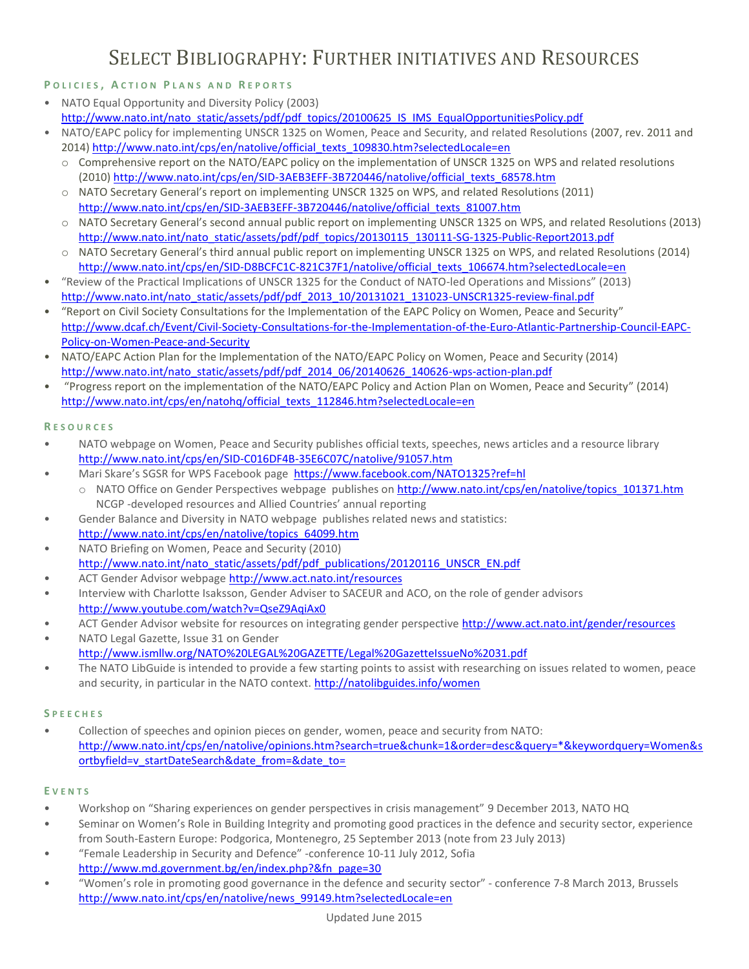### SELECT BIBLIOGRAPHY: FURTHER INITIATIVES AND RESOURCES

### **P O L I C I E S , A C T I O N P L A N S A N D R E P O R T S**

- NATO Equal Opportunity and Diversity Policy (2003) [http://www.nato.int/nato\\_static/assets/pdf/pdf\\_topics/20100625\\_IS\\_IMS\\_EqualOpportunitiesPolicy.pdf](http://www.nato.int/nato_static/assets/pdf/pdf_topics/20100625_IS_IMS_EqualOpportunitiesPolicy.pdf)
- NATO/EAPC policy for implementing UNSCR 1325 on Women, Peace and Security, and related Resolutions (2007, rev. 2011 and 2014) [http://www.nato.int/cps/en/natolive/official\\_texts\\_109830.htm?selectedLocale=en](http://www.nato.int/cps/en/natolive/official_texts_109830.htm?selectedLocale=en)
	- o Comprehensive report on the NATO/EAPC policy on the implementation of UNSCR 1325 on WPS and related resolutions (2010) [http://www.nato.int/cps/en/SID-3AEB3EFF-3B720446/natolive/official\\_texts\\_68578.htm](http://www.nato.int/cps/en/SID-3AEB3EFF-3B720446/natolive/official_texts_68578.htm)
	- o NATO Secretary General's report on implementing UNSCR 1325 on WPS, and related Resolutions (2011) [http://www.nato.int/cps/en/SID-3AEB3EFF-3B720446/natolive/official\\_texts\\_81007.htm](http://www.nato.int/cps/en/SID-3AEB3EFF-3B720446/natolive/official_texts_81007.htm)
	- o NATO Secretary General's second annual public report on implementing UNSCR 1325 on WPS, and related Resolutions (2013) [http://www.nato.int/nato\\_static/assets/pdf/pdf\\_topics/20130115\\_130111-SG-1325-Public-Report2013.pdf](http://www.nato.int/nato_static/assets/pdf/pdf_topics/20130115_130111-SG-1325-Public-Report2013.pdf)
	- o NATO Secretary General's third annual public report on implementing UNSCR 1325 on WPS, and related Resolutions (2014) [http://www.nato.int/cps/en/SID-D8BCFC1C-821C37F1/natolive/official\\_texts\\_106674.htm?selectedLocale=en](http://www.nato.int/cps/en/SID-D8BCFC1C-821C37F1/natolive/official_texts_106674.htm?selectedLocale=en)
- "Review of the Practical Implications of UNSCR 1325 for the Conduct of NATO-led Operations and Missions" (2013) [http://www.nato.int/nato\\_static/assets/pdf/pdf\\_2013\\_10/20131021\\_131023-UNSCR1325-review-final.pdf](http://www.nato.int/nato_static/assets/pdf/pdf_2013_10/20131021_131023-UNSCR1325-review-final.pdf)
- "Report on Civil Society Consultations for the Implementation of the EAPC Policy on Women, Peace and Security" [http://www.dcaf.ch/Event/Civil-Society-Consultations-for-the-Implementation-of-the-Euro-Atlantic-Partnership-Council-EAPC-](http://www.dcaf.ch/Event/Civil-Society-Consultations-for-the-Implementation-of-the-Euro-Atlantic-Partnership-Council-EAPC-Policy-on-Women-Peace-and-Security)[Policy-on-Women-Peace-and-Security](http://www.dcaf.ch/Event/Civil-Society-Consultations-for-the-Implementation-of-the-Euro-Atlantic-Partnership-Council-EAPC-Policy-on-Women-Peace-and-Security)
- NATO/EAPC Action Plan for the Implementation of the NATO/EAPC Policy on Women, Peace and Security (2014) [http://www.nato.int/nato\\_static/assets/pdf/pdf\\_2014\\_06/20140626\\_140626-wps-action-plan.pdf](http://www.nato.int/nato_static/assets/pdf/pdf_2014_06/20140626_140626-wps-action-plan.pdf)
- "Progress report on the implementation of the NATO/EAPC Policy and Action Plan on Women, Peace and Security" (2014) [http://www.nato.int/cps/en/natohq/official\\_texts\\_112846.htm?selectedLocale=en](http://www.nato.int/cps/en/natohq/official_texts_112846.htm?selectedLocale=en)

### **R E S O U R C E S**

- NATO webpage on Women, Peace and Security publishes official texts, speeches, news articles and a resource library <http://www.nato.int/cps/en/SID-C016DF4B-35E6C07C/natolive/91057.htm>
	- Mari Skare's SGSR for WPS Facebook page<https://www.facebook.com/NATO1325?ref=hl>
		- o NATO Office on Gender Perspectives webpage publishes o[n http://www.nato.int/cps/en/natolive/topics\\_101371.htm](http://www.nato.int/cps/en/natolive/topics_101371.htm) NCGP -developed resources and Allied Countries' annual reporting
- Gender Balance and Diversity in NATO webpage publishes related news and statistics: [http://www.nato.int/cps/en/natolive/topics\\_64099.htm](http://www.nato.int/cps/en/natolive/topics_64099.htm)
- NATO Briefing on Women, Peace and Security (2010) [http://www.nato.int/nato\\_static/assets/pdf/pdf\\_publications/20120116\\_UNSCR\\_EN.pdf](http://www.nato.int/nato_static/assets/pdf/pdf_publications/20120116_UNSCR_EN.pdf)
- ACT Gender Advisor webpage<http://www.act.nato.int/resources>
- Interview with Charlotte Isaksson, Gender Adviser to SACEUR and ACO, on the role of gender advisors <http://www.youtube.com/watch?v=QseZ9AqiAx0>
- ACT Gender Advisor website for resources on integrating gender perspective<http://www.act.nato.int/gender/resources>
- NATO Legal Gazette, Issue 31 on Gender <http://www.ismllw.org/NATO%20LEGAL%20GAZETTE/Legal%20GazetteIssueNo%2031.pdf>
- The NATO LibGuide is intended to provide a few starting points to assist with researching on issues related to women, peace and security, in particular in the NATO context.<http://natolibguides.info/women>

### **S P E E C H E S**

• Collection of speeches and opinion pieces on gender, women, peace and security from NATO: [http://www.nato.int/cps/en/natolive/opinions.htm?search=true&chunk=1&order=desc&query=\\*&keywordquery=Women&s](http://www.nato.int/cps/en/natolive/opinions.htm?search=true&chunk=1&order=desc&query=*&keywordquery=Women&sortbyfield=v_startDateSearch&date_from=&date_to=) [ortbyfield=v\\_startDateSearch&date\\_from=&date\\_to=](http://www.nato.int/cps/en/natolive/opinions.htm?search=true&chunk=1&order=desc&query=*&keywordquery=Women&sortbyfield=v_startDateSearch&date_from=&date_to=)

### **E V E N T S**

- Workshop on "Sharing experiences on gender perspectives in crisis management" 9 December 2013, NATO HQ
- Seminar on Women's Role in Building Integrity and promoting good practices in the defence and security sector, experience from South-Eastern Europe: Podgorica, Montenegro, 25 September 2013 (note from 23 July 2013)
- "Female Leadership in Security and Defence" -conference 10-11 July 2012, Sofia [http://www.md.government.bg/en/index.php?&fn\\_page=30](http://www.md.government.bg/en/index.php?&fn_page=30)
- "Women's role in promoting good governance in the defence and security sector" conference 7-8 March 2013, Brussels [http://www.nato.int/cps/en/natolive/news\\_99149.htm?selectedLocale=en](http://www.nato.int/cps/en/natolive/news_99149.htm?selectedLocale=en)